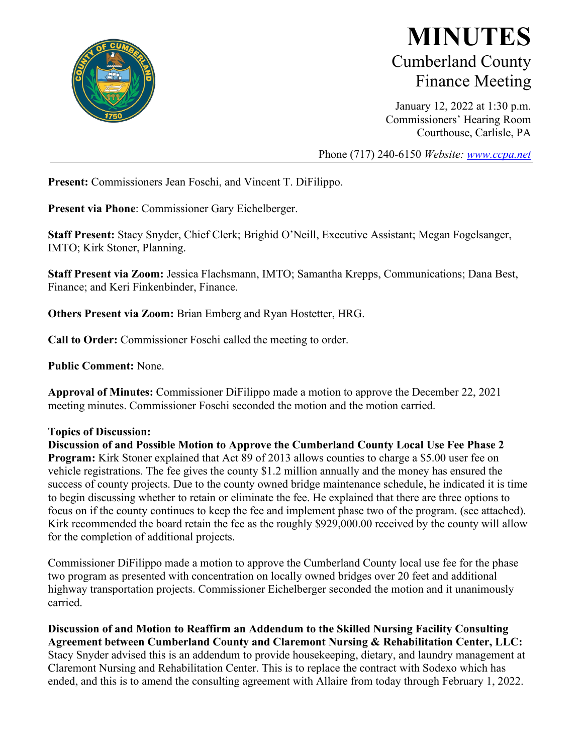

# **MINUTES** Cumberland County Finance Meeting

January 12, 2022 at 1:30 p.m. Commissioners' Hearing Room Courthouse, Carlisle, PA

Phone (717) 240-6150 *Website: [www.ccpa.net](http://www.ccpa.net/)*

**Present:** Commissioners Jean Foschi, and Vincent T. DiFilippo.

**Present via Phone**: Commissioner Gary Eichelberger.

**Staff Present:** Stacy Snyder, Chief Clerk; Brighid O'Neill, Executive Assistant; Megan Fogelsanger, IMTO; Kirk Stoner, Planning.

**Staff Present via Zoom:** Jessica Flachsmann, IMTO; Samantha Krepps, Communications; Dana Best, Finance; and Keri Finkenbinder, Finance.

**Others Present via Zoom:** Brian Emberg and Ryan Hostetter, HRG.

**Call to Order:** Commissioner Foschi called the meeting to order.

**Public Comment:** None.

**Approval of Minutes:** Commissioner DiFilippo made a motion to approve the December 22, 2021 meeting minutes. Commissioner Foschi seconded the motion and the motion carried.

#### **Topics of Discussion:**

**Discussion of and Possible Motion to Approve the Cumberland County Local Use Fee Phase 2 Program:** Kirk Stoner explained that Act 89 of 2013 allows counties to charge a \$5.00 user fee on vehicle registrations. The fee gives the county \$1.2 million annually and the money has ensured the success of county projects. Due to the county owned bridge maintenance schedule, he indicated it is time to begin discussing whether to retain or eliminate the fee. He explained that there are three options to focus on if the county continues to keep the fee and implement phase two of the program. (see attached). Kirk recommended the board retain the fee as the roughly \$929,000.00 received by the county will allow for the completion of additional projects.

Commissioner DiFilippo made a motion to approve the Cumberland County local use fee for the phase two program as presented with concentration on locally owned bridges over 20 feet and additional highway transportation projects. Commissioner Eichelberger seconded the motion and it unanimously carried.

**Discussion of and Motion to Reaffirm an Addendum to the Skilled Nursing Facility Consulting Agreement between Cumberland County and Claremont Nursing & Rehabilitation Center, LLC:** Stacy Snyder advised this is an addendum to provide housekeeping, dietary, and laundry management at Claremont Nursing and Rehabilitation Center. This is to replace the contract with Sodexo which has ended, and this is to amend the consulting agreement with Allaire from today through February 1, 2022.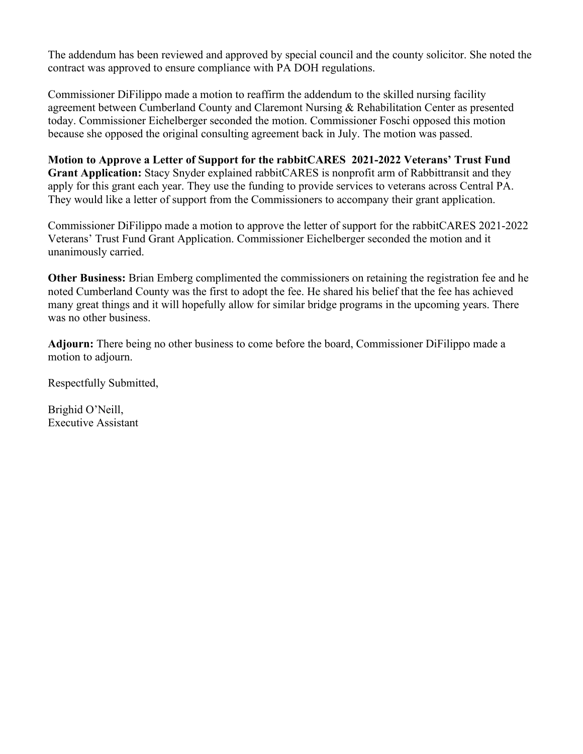The addendum has been reviewed and approved by special council and the county solicitor. She noted the contract was approved to ensure compliance with PA DOH regulations.

Commissioner DiFilippo made a motion to reaffirm the addendum to the skilled nursing facility agreement between Cumberland County and Claremont Nursing & Rehabilitation Center as presented today. Commissioner Eichelberger seconded the motion. Commissioner Foschi opposed this motion because she opposed the original consulting agreement back in July. The motion was passed.

**Motion to Approve a Letter of Support for the rabbitCARES 2021-2022 Veterans' Trust Fund Grant Application:** Stacy Snyder explained rabbitCARES is nonprofit arm of Rabbittransit and they apply for this grant each year. They use the funding to provide services to veterans across Central PA. They would like a letter of support from the Commissioners to accompany their grant application.

Commissioner DiFilippo made a motion to approve the letter of support for the rabbitCARES 2021-2022 Veterans' Trust Fund Grant Application. Commissioner Eichelberger seconded the motion and it unanimously carried.

**Other Business:** Brian Emberg complimented the commissioners on retaining the registration fee and he noted Cumberland County was the first to adopt the fee. He shared his belief that the fee has achieved many great things and it will hopefully allow for similar bridge programs in the upcoming years. There was no other business.

**Adjourn:** There being no other business to come before the board, Commissioner DiFilippo made a motion to adjourn.

Respectfully Submitted,

Brighid O'Neill, Executive Assistant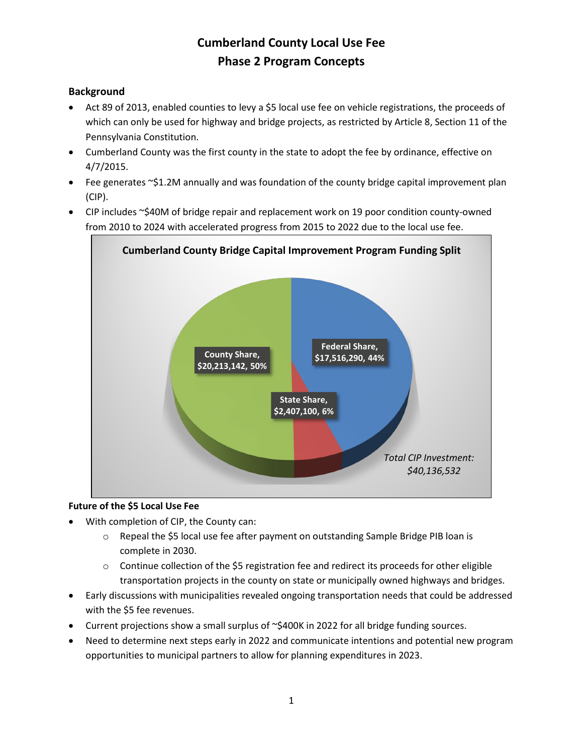### **Background**

- Act 89 of 2013, enabled counties to levy a \$5 local use fee on vehicle registrations, the proceeds of which can only be used for highway and bridge projects, as restricted by Article 8, Section 11 of the Pennsylvania Constitution.
- Cumberland County was the first county in the state to adopt the fee by ordinance, effective on 4/7/2015.
- Fee generates ~\$1.2M annually and was foundation of the county bridge capital improvement plan (CIP).
- CIP includes ~\$40M of bridge repair and replacement work on 19 poor condition county-owned from 2010 to 2024 with accelerated progress from 2015 to 2022 due to the local use fee.



#### **Future of the \$5 Local Use Fee**

- With completion of CIP, the County can:
	- o Repeal the \$5 local use fee after payment on outstanding Sample Bridge PIB loan is complete in 2030.
	- $\circ$  Continue collection of the \$5 registration fee and redirect its proceeds for other eligible transportation projects in the county on state or municipally owned highways and bridges.
- Early discussions with municipalities revealed ongoing transportation needs that could be addressed with the \$5 fee revenues.
- Current projections show a small surplus of ~\$400K in 2022 for all bridge funding sources.
- Need to determine next steps early in 2022 and communicate intentions and potential new program opportunities to municipal partners to allow for planning expenditures in 2023.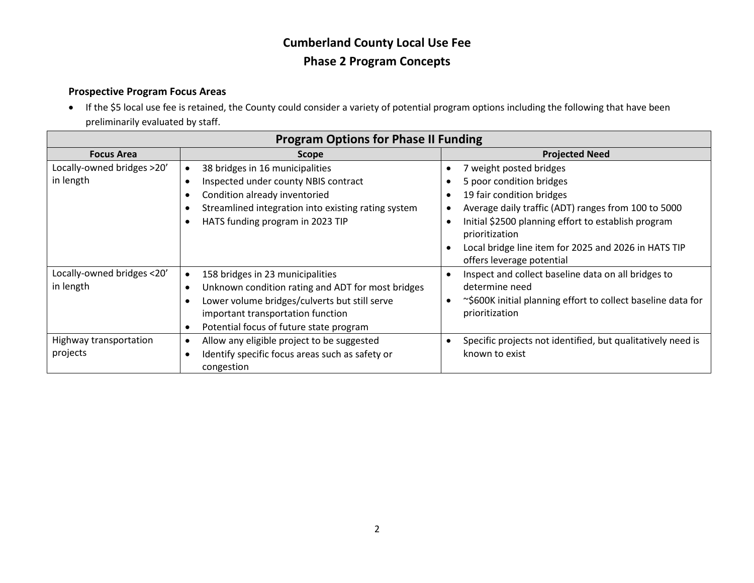### **Prospective Program Focus Areas**

• If the \$5 local use fee is retained, the County could consider a variety of potential program options including the following that have been preliminarily evaluated by staff.

| <b>Program Options for Phase II Funding</b> |                                                                                                                                                                                                                                                               |                                                                                                                                                                                                                                                                                                       |  |  |  |  |  |  |
|---------------------------------------------|---------------------------------------------------------------------------------------------------------------------------------------------------------------------------------------------------------------------------------------------------------------|-------------------------------------------------------------------------------------------------------------------------------------------------------------------------------------------------------------------------------------------------------------------------------------------------------|--|--|--|--|--|--|
| <b>Focus Area</b>                           | Scope                                                                                                                                                                                                                                                         | <b>Projected Need</b>                                                                                                                                                                                                                                                                                 |  |  |  |  |  |  |
| Locally-owned bridges >20'<br>in length     | 38 bridges in 16 municipalities<br>Inspected under county NBIS contract<br>$\bullet$<br>Condition already inventoried<br>$\bullet$<br>Streamlined integration into existing rating system<br>HATS funding program in 2023 TIP                                 | 7 weight posted bridges<br>5 poor condition bridges<br>19 fair condition bridges<br>Average daily traffic (ADT) ranges from 100 to 5000<br>Initial \$2500 planning effort to establish program<br>prioritization<br>Local bridge line item for 2025 and 2026 in HATS TIP<br>offers leverage potential |  |  |  |  |  |  |
| Locally-owned bridges <20'<br>in length     | 158 bridges in 23 municipalities<br>$\bullet$<br>Unknown condition rating and ADT for most bridges<br>$\bullet$<br>Lower volume bridges/culverts but still serve<br>$\bullet$<br>important transportation function<br>Potential focus of future state program | Inspect and collect baseline data on all bridges to<br>determine need<br>~\$600K initial planning effort to collect baseline data for<br>prioritization                                                                                                                                               |  |  |  |  |  |  |
| Highway transportation<br>projects          | Allow any eligible project to be suggested<br>$\bullet$<br>Identify specific focus areas such as safety or<br>congestion                                                                                                                                      | Specific projects not identified, but qualitatively need is<br>known to exist                                                                                                                                                                                                                         |  |  |  |  |  |  |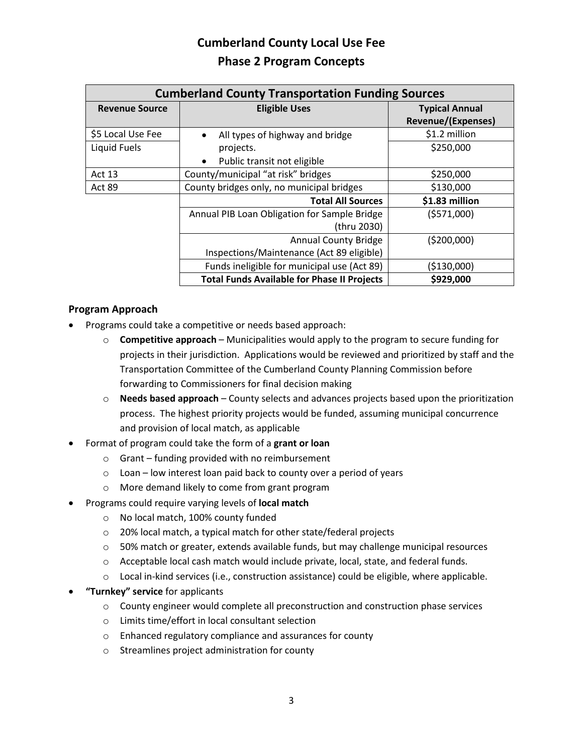| <b>Cumberland County Transportation Funding Sources</b> |                                                    |                           |  |  |  |  |  |
|---------------------------------------------------------|----------------------------------------------------|---------------------------|--|--|--|--|--|
| <b>Revenue Source</b>                                   | <b>Eligible Uses</b>                               | <b>Typical Annual</b>     |  |  |  |  |  |
|                                                         |                                                    | <b>Revenue/(Expenses)</b> |  |  |  |  |  |
| \$5 Local Use Fee                                       | All types of highway and bridge<br>$\bullet$       | \$1.2 million             |  |  |  |  |  |
| Liquid Fuels                                            | projects.                                          | \$250,000                 |  |  |  |  |  |
|                                                         | Public transit not eligible<br>$\bullet$           |                           |  |  |  |  |  |
| Act 13                                                  | County/municipal "at risk" bridges                 | \$250,000                 |  |  |  |  |  |
| Act 89                                                  | County bridges only, no municipal bridges          | \$130,000                 |  |  |  |  |  |
|                                                         | <b>Total All Sources</b>                           | \$1.83 million            |  |  |  |  |  |
|                                                         | Annual PIB Loan Obligation for Sample Bridge       | (5571,000)                |  |  |  |  |  |
|                                                         | (thru 2030)                                        |                           |  |  |  |  |  |
|                                                         | <b>Annual County Bridge</b>                        | (5200,000)                |  |  |  |  |  |
|                                                         | Inspections/Maintenance (Act 89 eligible)          |                           |  |  |  |  |  |
|                                                         | Funds ineligible for municipal use (Act 89)        | ( \$130,000)              |  |  |  |  |  |
|                                                         | <b>Total Funds Available for Phase II Projects</b> | \$929,000                 |  |  |  |  |  |

#### **Program Approach**

- Programs could take a competitive or needs based approach:
	- o **Competitive approach** Municipalities would apply to the program to secure funding for projects in their jurisdiction. Applications would be reviewed and prioritized by staff and the Transportation Committee of the Cumberland County Planning Commission before forwarding to Commissioners for final decision making
	- o **Needs based approach** County selects and advances projects based upon the prioritization process. The highest priority projects would be funded, assuming municipal concurrence and provision of local match, as applicable
- Format of program could take the form of a **grant or loan**
	- o Grant funding provided with no reimbursement
	- o Loan low interest loan paid back to county over a period of years
	- o More demand likely to come from grant program
- Programs could require varying levels of **local match**
	- o No local match, 100% county funded
	- o 20% local match, a typical match for other state/federal projects
	- $\circ$  50% match or greater, extends available funds, but may challenge municipal resources
	- o Acceptable local cash match would include private, local, state, and federal funds.
	- o Local in-kind services (i.e., construction assistance) could be eligible, where applicable.
- **"Turnkey" service** for applicants
	- o County engineer would complete all preconstruction and construction phase services
	- o Limits time/effort in local consultant selection
	- o Enhanced regulatory compliance and assurances for county
	- o Streamlines project administration for county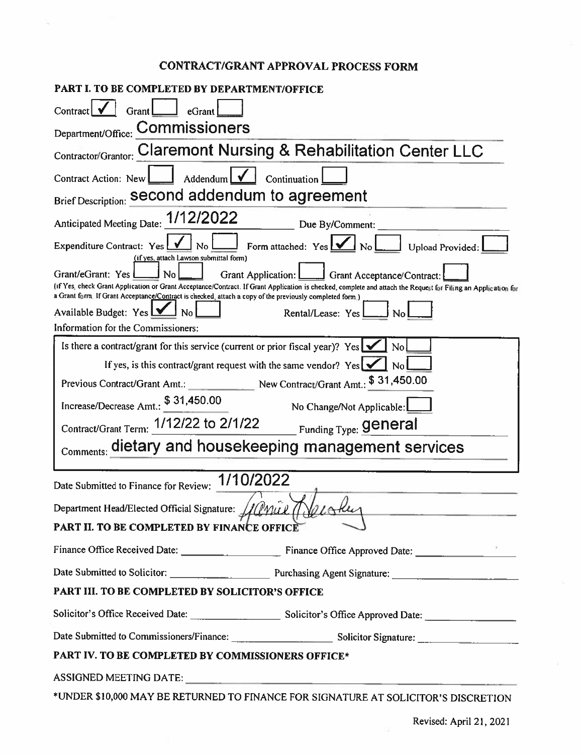### **CONTRACT/GRANT APPROVAL PROCESS FORM**

| PART I. TO BE COMPLETED BY DEPARTMENT/OFFICE                                                                                                                                                                                                                             |  |  |  |  |  |  |  |
|--------------------------------------------------------------------------------------------------------------------------------------------------------------------------------------------------------------------------------------------------------------------------|--|--|--|--|--|--|--|
| Contract<br>Grant  <br>eGrant                                                                                                                                                                                                                                            |  |  |  |  |  |  |  |
| Department/Office: Commissioners                                                                                                                                                                                                                                         |  |  |  |  |  |  |  |
| Contractor/Grantor: Claremont Nursing & Rehabilitation Center LLC                                                                                                                                                                                                        |  |  |  |  |  |  |  |
| Addendum $\sqrt{\phantom{a}}$<br>Continuation<br>Contract Action: New                                                                                                                                                                                                    |  |  |  |  |  |  |  |
| Brief Description: Second addendum to agreement                                                                                                                                                                                                                          |  |  |  |  |  |  |  |
| Anticipated Meeting Date: 1/12/2022<br>Due By/Comment:                                                                                                                                                                                                                   |  |  |  |  |  |  |  |
| Form attached: Yes V No<br>Expenditure Contract: Yes<br>J No<br>Upload Provided:<br>(if yes, attach Lawson submittal form)                                                                                                                                               |  |  |  |  |  |  |  |
| Grant/eGrant: Yes<br>No<br>Grant Application:<br>Grant Acceptance/Contract:                                                                                                                                                                                              |  |  |  |  |  |  |  |
| (if Yes, check Grant Application or Grant Acceptance/Contract. If Grant Application is checked, complete and attach the Request for Filing an Application for<br>a Grant form. If Grant Acceptance/Contract is checked, attach a copy of the previously completed form.) |  |  |  |  |  |  |  |
| Available Budget: Yes $\Box$<br>Rental/Lease: Yes                                                                                                                                                                                                                        |  |  |  |  |  |  |  |
| Information for the Commissioners:                                                                                                                                                                                                                                       |  |  |  |  |  |  |  |
| Is there a contract/grant for this service (current or prior fiscal year)? Yes $\sqrt{\phantom{a}}$<br>N <sub>o</sub>                                                                                                                                                    |  |  |  |  |  |  |  |
| If yes, is this contract/grant request with the same vendor? Yes $\Box$ No                                                                                                                                                                                               |  |  |  |  |  |  |  |
| Previous Contract/Grant Amt.: New Contract/Grant Amt.: \$ 31,450.00                                                                                                                                                                                                      |  |  |  |  |  |  |  |
| Increase/Decrease Amt.: \$31,450.00<br>No Change/Not Applicable:                                                                                                                                                                                                         |  |  |  |  |  |  |  |
| Contract/Grant Term: 1/12/22 to 2/1/22 Funding Type: General                                                                                                                                                                                                             |  |  |  |  |  |  |  |
| Comments: dietary and housekeeping management services                                                                                                                                                                                                                   |  |  |  |  |  |  |  |
| 1/10/2022<br>Date Submitted to Finance for Review:                                                                                                                                                                                                                       |  |  |  |  |  |  |  |
|                                                                                                                                                                                                                                                                          |  |  |  |  |  |  |  |
| Department Head/Elected Official Signature: Hill Mul (  Yel Sku                                                                                                                                                                                                          |  |  |  |  |  |  |  |
| PART II. TO BE COMPLETED BY FINANCE OFFICE                                                                                                                                                                                                                               |  |  |  |  |  |  |  |
|                                                                                                                                                                                                                                                                          |  |  |  |  |  |  |  |
| Date Submitted to Solicitor: Purchasing Agent Signature: 2008. [2016]                                                                                                                                                                                                    |  |  |  |  |  |  |  |
| PART III. TO BE COMPLETED BY SOLICITOR'S OFFICE                                                                                                                                                                                                                          |  |  |  |  |  |  |  |
|                                                                                                                                                                                                                                                                          |  |  |  |  |  |  |  |
|                                                                                                                                                                                                                                                                          |  |  |  |  |  |  |  |
| PART IV. TO BE COMPLETED BY COMMISSIONERS OFFICE*                                                                                                                                                                                                                        |  |  |  |  |  |  |  |
|                                                                                                                                                                                                                                                                          |  |  |  |  |  |  |  |
| *UNDER \$10,000 MAY BE RETURNED TO FINANCE FOR SIGNATURE AT SOLICITOR'S DISCRETION                                                                                                                                                                                       |  |  |  |  |  |  |  |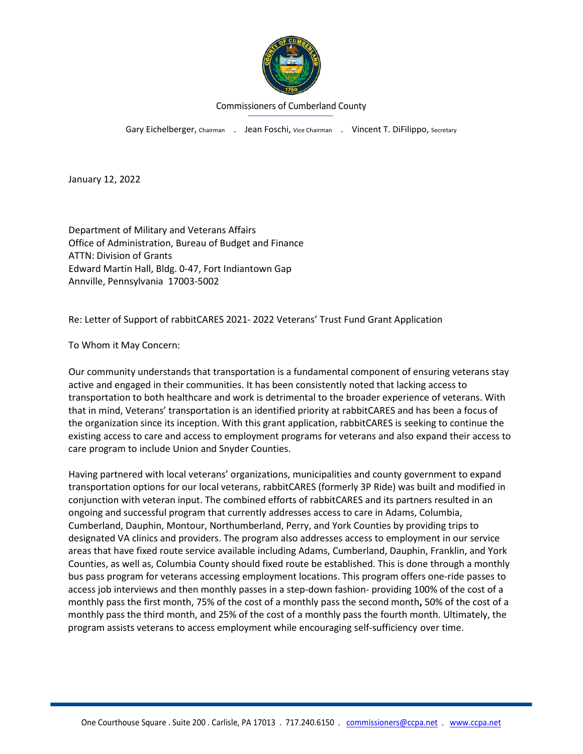

#### Commissioners of Cumberland County

Gary Eichelberger, Chairman . Jean Foschi, Vice Chairman . Vincent T. DiFilippo, Secretary

January 12, 2022

Department of Military and Veterans Affairs Office of Administration, Bureau of Budget and Finance ATTN: Division of Grants Edward Martin Hall, Bldg. 0-47, Fort Indiantown Gap Annville, Pennsylvania 17003-5002

Re: Letter of Support of rabbitCARES 2021- 2022 Veterans' Trust Fund Grant Application

To Whom it May Concern:

Our community understands that transportation is a fundamental component of ensuring veterans stay active and engaged in their communities. It has been consistently noted that lacking access to transportation to both healthcare and work is detrimental to the broader experience of veterans. With that in mind, Veterans' transportation is an identified priority at rabbitCARES and has been a focus of the organization since its inception. With this grant application, rabbitCARES is seeking to continue the existing access to care and access to employment programs for veterans and also expand their access to care program to include Union and Snyder Counties.

Having partnered with local veterans' organizations, municipalities and county government to expand transportation options for our local veterans, rabbitCARES (formerly 3P Ride) was built and modified in conjunction with veteran input. The combined efforts of rabbitCARES and its partners resulted in an ongoing and successful program that currently addresses access to care in Adams, Columbia, Cumberland, Dauphin, Montour, Northumberland, Perry, and York Counties by providing trips to designated VA clinics and providers. The program also addresses access to employment in our service areas that have fixed route service available including Adams, Cumberland, Dauphin, Franklin, and York Counties, as well as, Columbia County should fixed route be established. This is done through a monthly bus pass program for veterans accessing employment locations. This program offers one-ride passes to access job interviews and then monthly passes in a step-down fashion- providing 100% of the cost of a monthly pass the first month, 75% of the cost of a monthly pass the second month**,** 50% of the cost of a monthly pass the third month, and 25% of the cost of a monthly pass the fourth month. Ultimately, the program assists veterans to access employment while encouraging self-sufficiency over time.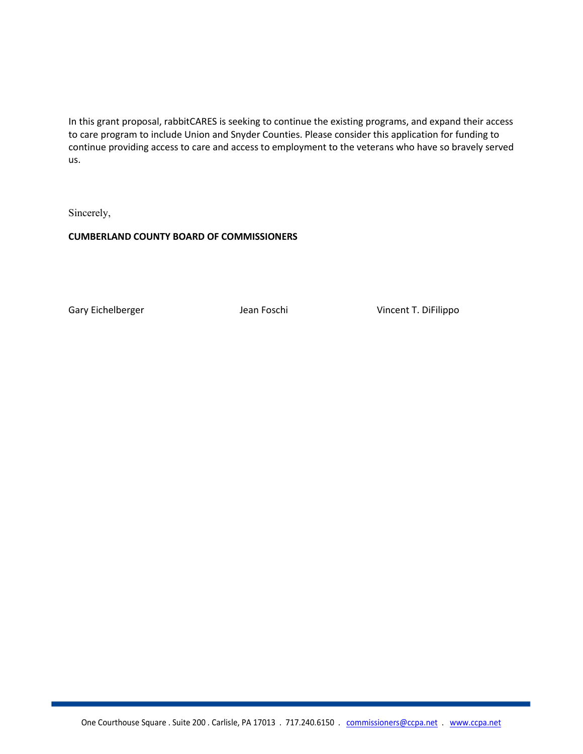In this grant proposal, rabbitCARES is seeking to continue the existing programs, and expand their access to care program to include Union and Snyder Counties. Please consider this application for funding to continue providing access to care and access to employment to the veterans who have so bravely served us.

Sincerely,

**CUMBERLAND COUNTY BOARD OF COMMISSIONERS**

Gary Eichelberger The State of Lean Foschi State University Cincent T. DiFilippo